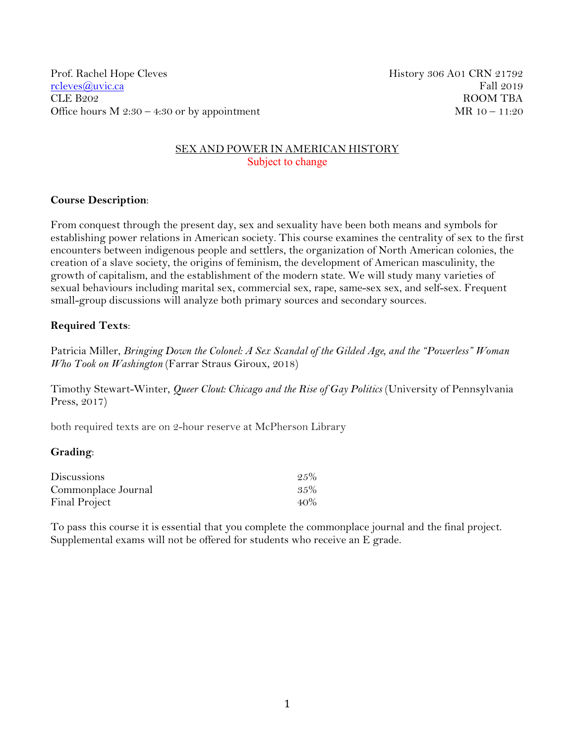Prof. Rachel Hope Cleves **History 306 A01 CRN 21792** [rcleves@uvic.ca](mailto:rcleves@uvic.ca) Fall 2019 CLE B202 ROOM TBA Office hours  $M 2:30 - 4:30$  or by appointment MR  $10 - 11:20$ 

## SEX AND POWER IN AMERICAN HISTORY Subject to change

## **Course Description**:

From conquest through the present day, sex and sexuality have been both means and symbols for establishing power relations in American society. This course examines the centrality of sex to the first encounters between indigenous people and settlers, the organization of North American colonies, the creation of a slave society, the origins of feminism, the development of American masculinity, the growth of capitalism, and the establishment of the modern state. We will study many varieties of sexual behaviours including marital sex, commercial sex, rape, same-sex sex, and self-sex. Frequent small-group discussions will analyze both primary sources and secondary sources.

# **Required Texts**:

Patricia Miller, *Bringing Down the Colonel: A Sex Scandal of the Gilded Age, and the "Powerless" Woman Who Took on Washington* (Farrar Straus Giroux, 2018)

Timothy Stewart-Winter, *Queer Clout: Chicago and the Rise of Gay Politics* (University of Pennsylvania Press, 2017)

both required texts are on 2-hour reserve at McPherson Library

## **Grading**:

| <b>Discussions</b>  | $-2.5\%$ |
|---------------------|----------|
| Commonplace Journal | 35%      |
| Final Project       | $40\%$   |

To pass this course it is essential that you complete the commonplace journal and the final project. Supplemental exams will not be offered for students who receive an E grade.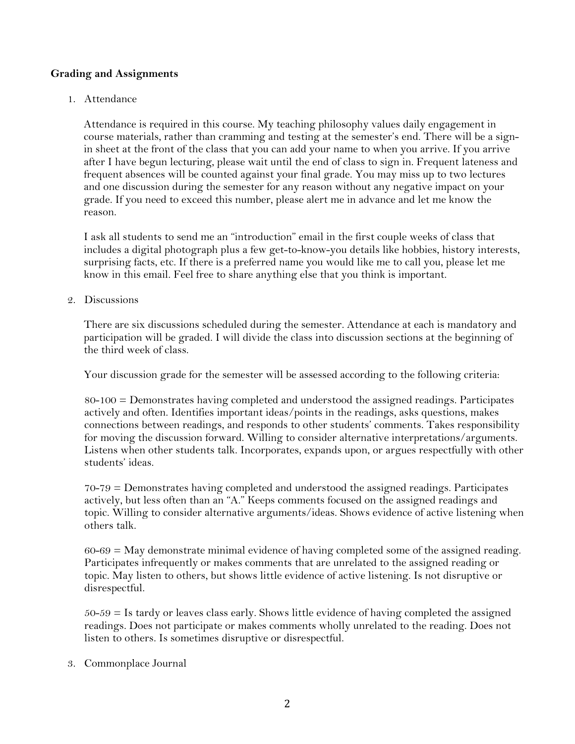## **Grading and Assignments**

1. Attendance

Attendance is required in this course. My teaching philosophy values daily engagement in course materials, rather than cramming and testing at the semester's end. There will be a signin sheet at the front of the class that you can add your name to when you arrive. If you arrive after I have begun lecturing, please wait until the end of class to sign in. Frequent lateness and frequent absences will be counted against your final grade. You may miss up to two lectures and one discussion during the semester for any reason without any negative impact on your grade. If you need to exceed this number, please alert me in advance and let me know the reason.

I ask all students to send me an "introduction" email in the first couple weeks of class that includes a digital photograph plus a few get-to-know-you details like hobbies, history interests, surprising facts, etc. If there is a preferred name you would like me to call you, please let me know in this email. Feel free to share anything else that you think is important.

2. Discussions

There are six discussions scheduled during the semester. Attendance at each is mandatory and participation will be graded. I will divide the class into discussion sections at the beginning of the third week of class.

Your discussion grade for the semester will be assessed according to the following criteria:

80-100 = Demonstrates having completed and understood the assigned readings. Participates actively and often. Identifies important ideas/points in the readings, asks questions, makes connections between readings, and responds to other students' comments. Takes responsibility for moving the discussion forward. Willing to consider alternative interpretations/arguments. Listens when other students talk. Incorporates, expands upon, or argues respectfully with other students' ideas.

70-79 = Demonstrates having completed and understood the assigned readings. Participates actively, but less often than an "A." Keeps comments focused on the assigned readings and topic. Willing to consider alternative arguments/ideas. Shows evidence of active listening when others talk.

 $60-69 =$  May demonstrate minimal evidence of having completed some of the assigned reading. Participates infrequently or makes comments that are unrelated to the assigned reading or topic. May listen to others, but shows little evidence of active listening. Is not disruptive or disrespectful.

 $50-59 =$  Is tardy or leaves class early. Shows little evidence of having completed the assigned readings. Does not participate or makes comments wholly unrelated to the reading. Does not listen to others. Is sometimes disruptive or disrespectful.

3. Commonplace Journal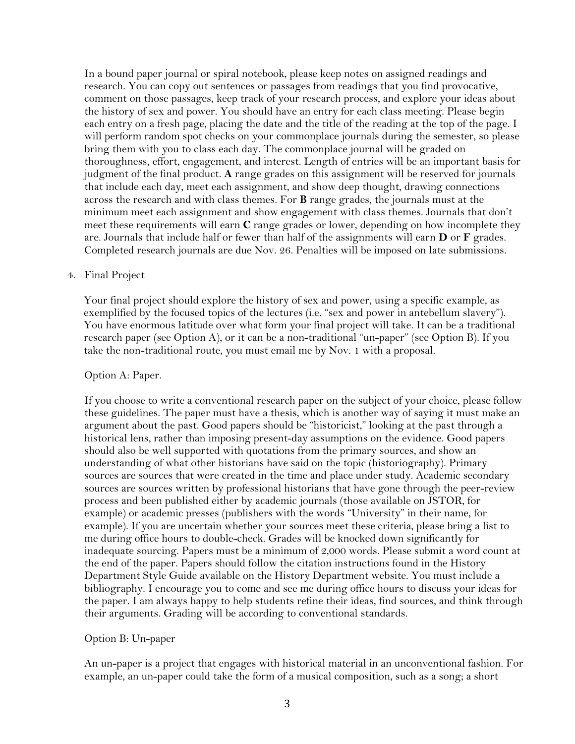In a bound paper journal or spiral notebook, please keep notes on assigned readings and research. You can copy out sentences or passages from readings that you find provocative, comment on those passages, keep track of your research process, and explore your ideas about the history of sex and power. You should have an entry for each class meeting. Please begin each entry on a fresh page, placing the date and the title of the reading at the top of the page. I will perform random spot checks on your commonplace journals during the semester, so please bring them with you to class each day. The commonplace journal will be graded on thoroughness, effort, engagement, and interest. Length of entries will be an important basis for judgment of the final product. **A** range grades on this assignment will be reserved for journals that include each day, meet each assignment, and show deep thought, drawing connections across the research and with class themes. For **B** range grades, the journals must at the minimum meet each assignment and show engagement with class themes. Journals that don't meet these requirements will earn **C** range grades or lower, depending on how incomplete they are. Journals that include half or fewer than half of the assignments will earn **D** or **F** grades. Completed research journals are due Nov. 26. Penalties will be imposed on late submissions.

#### 4. Final Project

Your final project should explore the history of sex and power, using a specific example, as exemplified by the focused topics of the lectures (i.e. "sex and power in antebellum slavery"). You have enormous latitude over what form your final project will take. It can be a traditional research paper (see Option A), or it can be a non-traditional "un-paper" (see Option B). If you take the non-traditional route, you must email me by Nov. 1 with a proposal.

#### Option A: Paper.

If you choose to write a conventional research paper on the subject of your choice, please follow these guidelines. The paper must have a thesis, which is another way of saying it must make an argument about the past. Good papers should be "historicist," looking at the past through a historical lens, rather than imposing present-day assumptions on the evidence. Good papers should also be well supported with quotations from the primary sources, and show an understanding of what other historians have said on the topic (historiography). Primary sources are sources that were created in the time and place under study. Academic secondary sources are sources written by professional historians that have gone through the peer-review process and been published either by academic journals (those available on JSTOR, for example) or academic presses (publishers with the words "University" in their name, for example). If you are uncertain whether your sources meet these criteria, please bring a list to me during office hours to double-check. Grades will be knocked down significantly for inadequate sourcing. Papers must be a minimum of 2,000 words. Please submit a word count at the end of the paper. Papers should follow the citation instructions found in the History Department Style Guide available on the History Department website. You must include a bibliography. I encourage you to come and see me during office hours to discuss your ideas for the paper. I am always happy to help students refine their ideas, find sources, and think through their arguments. Grading will be according to conventional standards.

#### Option B: Un-paper

An un-paper is a project that engages with historical material in an unconventional fashion. For example, an un-paper could take the form of a musical composition, such as a song; a short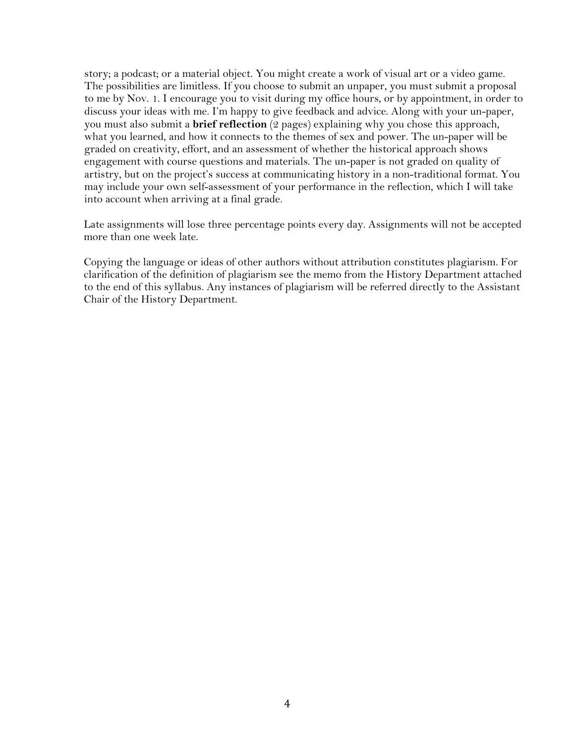story; a podcast; or a material object. You might create a work of visual art or a video game. The possibilities are limitless. If you choose to submit an unpaper, you must submit a proposal to me by Nov. 1. I encourage you to visit during my office hours, or by appointment, in order to discuss your ideas with me. I'm happy to give feedback and advice. Along with your un-paper, you must also submit a **brief reflection** (2 pages) explaining why you chose this approach, what you learned, and how it connects to the themes of sex and power. The un-paper will be graded on creativity, effort, and an assessment of whether the historical approach shows engagement with course questions and materials. The un-paper is not graded on quality of artistry, but on the project's success at communicating history in a non-traditional format. You may include your own self-assessment of your performance in the reflection, which I will take into account when arriving at a final grade.

Late assignments will lose three percentage points every day. Assignments will not be accepted more than one week late.

Copying the language or ideas of other authors without attribution constitutes plagiarism. For clarification of the definition of plagiarism see the memo from the History Department attached to the end of this syllabus. Any instances of plagiarism will be referred directly to the Assistant Chair of the History Department.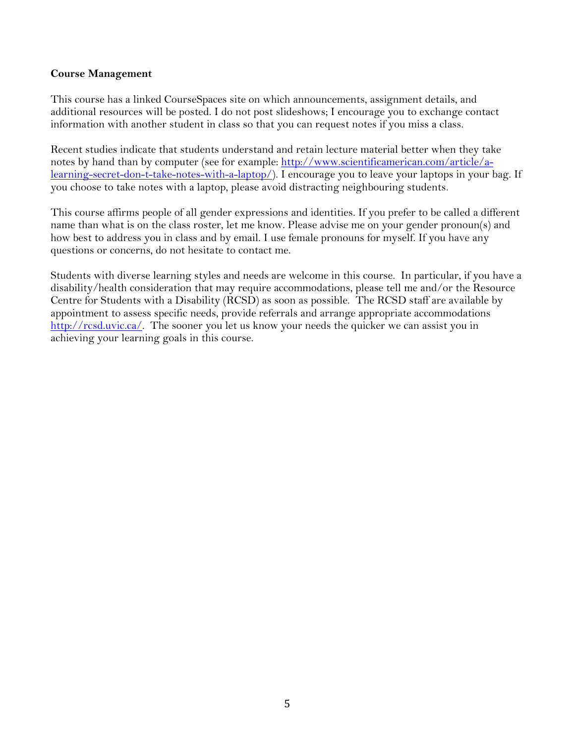### **Course Management**

This course has a linked CourseSpaces site on which announcements, assignment details, and additional resources will be posted. I do not post slideshows; I encourage you to exchange contact information with another student in class so that you can request notes if you miss a class.

Recent studies indicate that students understand and retain lecture material better when they take notes by hand than by computer (see for example: [http://www.scientificamerican.com/article/a](http://www.scientificamerican.com/article/a-learning-secret-don-t-take-notes-with-a-laptop/)[learning-secret-don-t-take-notes-with-a-laptop/\)](http://www.scientificamerican.com/article/a-learning-secret-don-t-take-notes-with-a-laptop/). I encourage you to leave your laptops in your bag. If you choose to take notes with a laptop, please avoid distracting neighbouring students.

This course affirms people of all gender expressions and identities. If you prefer to be called a different name than what is on the class roster, let me know. Please advise me on your gender pronoun(s) and how best to address you in class and by email. I use female pronouns for myself. If you have any questions or concerns, do not hesitate to contact me.

Students with diverse learning styles and needs are welcome in this course. In particular, if you have a disability/health consideration that may require accommodations, please tell me and/or the Resource Centre for Students with a Disability (RCSD) as soon as possible. The RCSD staff are available by appointment to assess specific needs, provide referrals and arrange appropriate accommodations [http://rcsd.uvic.ca/.](http://www.stas.uvic.ca/osd) The sooner you let us know your needs the quicker we can assist you in achieving your learning goals in this course.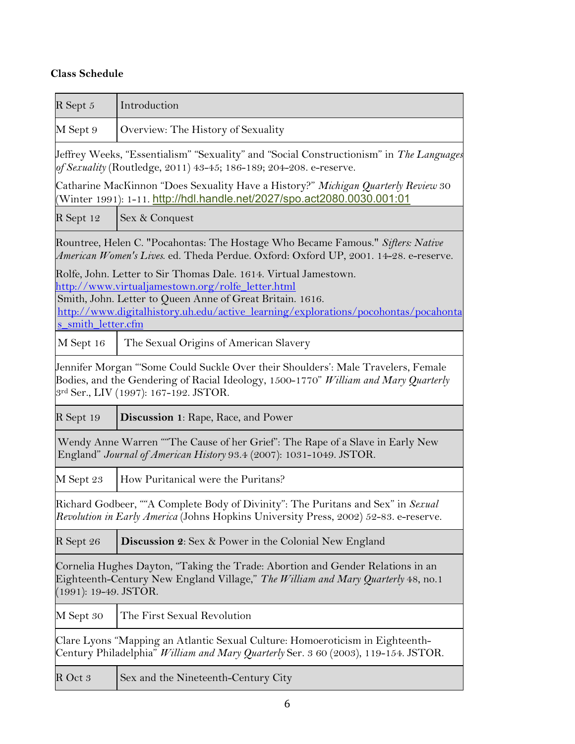# **Class Schedule**

| $R$ Sept $5$                                                                                                                                                                                  | Introduction                                                                                                                                                                                                                                                             |
|-----------------------------------------------------------------------------------------------------------------------------------------------------------------------------------------------|--------------------------------------------------------------------------------------------------------------------------------------------------------------------------------------------------------------------------------------------------------------------------|
| M Sept 9                                                                                                                                                                                      | Overview: The History of Sexuality                                                                                                                                                                                                                                       |
|                                                                                                                                                                                               | Jeffrey Weeks, "Essentialism" "Sexuality" and "Social Constructionism" in The Languages<br>of Sexuality (Routledge, 2011) 43-45; 186-189; 204-208. e-reserve.                                                                                                            |
|                                                                                                                                                                                               | Catharine MacKinnon "Does Sexuality Have a History?" Michigan Quarterly Review 30                                                                                                                                                                                        |
| R Sept 12                                                                                                                                                                                     | Sex & Conquest                                                                                                                                                                                                                                                           |
|                                                                                                                                                                                               | Rountree, Helen C. "Pocahontas: The Hostage Who Became Famous." Sifters: Native<br>American Women's Lives. ed. Theda Perdue. Oxford: Oxford UP, 2001. 14-28. e-reserve.                                                                                                  |
| s_smith_letter.cfm                                                                                                                                                                            | Rolfe, John. Letter to Sir Thomas Dale. 1614. Virtual Jamestown.<br>http://www.virtualjamestown.org/rolfe_letter.html<br>Smith, John. Letter to Queen Anne of Great Britain. 1616.<br>http://www.digitalhistory.uh.edu/active_learning/explorations/pocohontas/pocahonta |
| M Sept 16                                                                                                                                                                                     | The Sexual Origins of American Slavery                                                                                                                                                                                                                                   |
|                                                                                                                                                                                               | Jennifer Morgan "'Some Could Suckle Over their Shoulders': Male Travelers, Female<br>Bodies, and the Gendering of Racial Ideology, 1500-1770" William and Mary Quarterly<br>3rd Ser., LIV (1997): 167-192. JSTOR.                                                        |
| R Sept 19                                                                                                                                                                                     | <b>Discussion 1: Rape, Race, and Power</b>                                                                                                                                                                                                                               |
| Wendy Anne Warren ""The Cause of her Grief": The Rape of a Slave in Early New<br>England" Journal of American History 93.4 (2007): 1031-1049. JSTOR.                                          |                                                                                                                                                                                                                                                                          |
| M Sept 23                                                                                                                                                                                     | How Puritanical were the Puritans?                                                                                                                                                                                                                                       |
| Richard Godbeer, ""A Complete Body of Divinity": The Puritans and Sex" in Sexual<br>Revolution in Early America (Johns Hopkins University Press, 2002) 52-83. e-reserve.                      |                                                                                                                                                                                                                                                                          |
| R Sept 26                                                                                                                                                                                     | <b>Discussion 2:</b> Sex & Power in the Colonial New England                                                                                                                                                                                                             |
| Cornelia Hughes Dayton, "Taking the Trade: Abortion and Gender Relations in an<br>Eighteenth-Century New England Village," The William and Mary Quarterly 48, no.1<br>$(1991): 19-49. JSTOR.$ |                                                                                                                                                                                                                                                                          |
| M Sept 30                                                                                                                                                                                     | The First Sexual Revolution                                                                                                                                                                                                                                              |
|                                                                                                                                                                                               | Clare Lyons "Mapping an Atlantic Sexual Culture: Homoeroticism in Eighteenth-<br>Century Philadelphia" <i>William and Mary Quarterly</i> Ser. 3 60 (2003), 119-154. JSTOR.                                                                                               |
| R Oct 3                                                                                                                                                                                       | Sex and the Nineteenth-Century City                                                                                                                                                                                                                                      |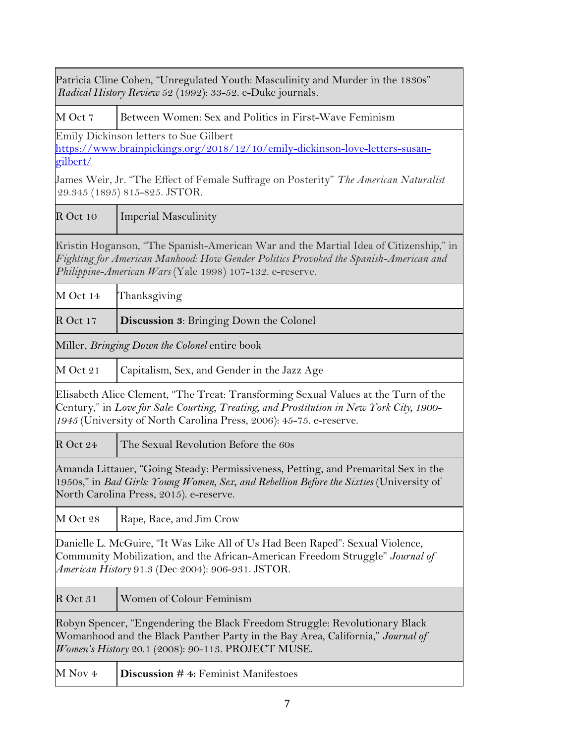| Patricia Cline Cohen, "Unregulated Youth: Masculinity and Murder in the 1830s"<br>Radical History Review 52 (1992): 33-52. e-Duke journals. |                                                                                                                                                                                                                                                      |
|---------------------------------------------------------------------------------------------------------------------------------------------|------------------------------------------------------------------------------------------------------------------------------------------------------------------------------------------------------------------------------------------------------|
| M Oct 7                                                                                                                                     | Between Women: Sex and Politics in First-Wave Feminism                                                                                                                                                                                               |
| gilbert/                                                                                                                                    | Emily Dickinson letters to Sue Gilbert<br>https://www.brainpickings.org/2018/12/10/emily-dickinson-love-letters-susan-                                                                                                                               |
|                                                                                                                                             | James Weir, Jr. "The Effect of Female Suffrage on Posterity" The American Naturalist<br>29.345 (1895) 815-825. JSTOR.                                                                                                                                |
| R Oct 10                                                                                                                                    | <b>Imperial Masculinity</b>                                                                                                                                                                                                                          |
|                                                                                                                                             | Kristin Hoganson, "The Spanish-American War and the Martial Idea of Citizenship," in<br>Fighting for American Manhood: How Gender Politics Provoked the Spanish-American and<br>Philippine-American Wars (Yale 1998) 107-132. e-reserve.             |
| M Oct 14                                                                                                                                    | Thanksgiving                                                                                                                                                                                                                                         |
| R Oct 17                                                                                                                                    | <b>Discussion 3:</b> Bringing Down the Colonel                                                                                                                                                                                                       |
|                                                                                                                                             | Miller, Bringing Down the Colonel entire book                                                                                                                                                                                                        |
| M Oct 21                                                                                                                                    | Capitalism, Sex, and Gender in the Jazz Age                                                                                                                                                                                                          |
|                                                                                                                                             | Elisabeth Alice Clement, "The Treat: Transforming Sexual Values at the Turn of the<br>Century," in Love for Sale: Courting, Treating, and Prostitution in New York City, 1900-<br>1945 (University of North Carolina Press, 2006): 45-75. e-reserve. |
| R Oct 24                                                                                                                                    | The Sexual Revolution Before the 60s                                                                                                                                                                                                                 |
|                                                                                                                                             | Amanda Littauer, "Going Steady: Permissiveness, Petting, and Premarital Sex in the<br>1950s," in Bad Girls: Young Women, Sex, and Rebellion Before the Sixties (University of<br>North Carolina Press, 2015). e-reserve.                             |
| M Oct 28                                                                                                                                    | Rape, Race, and Jim Crow                                                                                                                                                                                                                             |
|                                                                                                                                             | Danielle L. McGuire, "It Was Like All of Us Had Been Raped": Sexual Violence,<br>Community Mobilization, and the African-American Freedom Struggle" Journal of<br>American History 91.3 (Dec 2004): 906-931. JSTOR.                                  |
| R Oct 31                                                                                                                                    | Women of Colour Feminism                                                                                                                                                                                                                             |
|                                                                                                                                             | Robyn Spencer, "Engendering the Black Freedom Struggle: Revolutionary Black<br>Womanhood and the Black Panther Party in the Bay Area, California," Journal of<br>Women's History 20.1 (2008): 90-113. PROJECT MUSE.                                  |
| M Nov 4                                                                                                                                     | Discussion #4: Feminist Manifestoes                                                                                                                                                                                                                  |